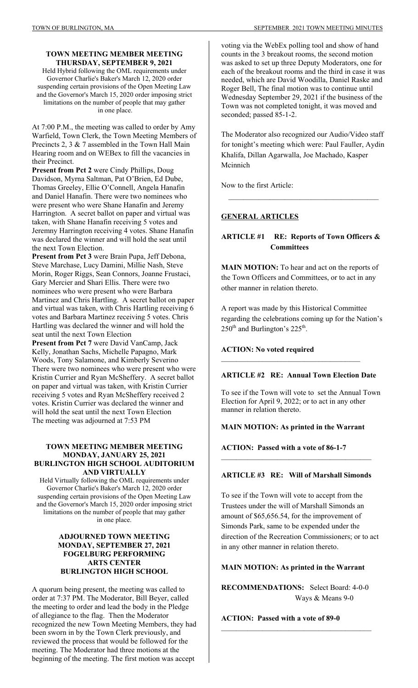#### **TOWN MEETING MEMBER MEETING THURSDAY, SEPTEMBER 9, 2021**

Held Hybrid following the OML requirements under Governor Charlie's Baker's March 12, 2020 order suspending certain provisions of the Open Meeting Law and the Governor's March 15, 2020 order imposing strict limitations on the number of people that may gather in one place.

At 7:00 P.M., the meeting was called to order by Amy Warfield, Town Clerk, the Town Meeting Members of Precincts 2, 3 & 7 assembled in the Town Hall Main Hearing room and on WEBex to fill the vacancies in their Precinct.

**Present from Pct 2** were Cindy Phillips, Doug Davidson, Myrna Saltman, Pat O'Brien, Ed Dube, Thomas Greeley, Ellie O'Connell, Angela Hanafin and Daniel Hanafin. There were two nominees who were present who were Shane Hanafin and Jeremy Harrington. A secret ballot on paper and virtual was taken, with Shane Hanafin receiving 5 votes and Jeremny Harrington receiving 4 votes. Shane Hanafin was declared the winner and will hold the seat until the next Town Election.

**Present from Pct 3** were Brain Pupa, Jeff Debona, Steve Marchase, Lucy Damini, Millie Nash, Steve Morin, Roger Riggs, Sean Connors, Joanne Frustaci, Gary Mercier and Shari Ellis. There were two nominees who were present who were Barbara Martinez and Chris Hartling. A secret ballot on paper and virtual was taken, with Chris Hartling receiving 6 votes and Barbara Martinez receiving 5 votes. Chris Hartling was declared the winner and will hold the seat until the next Town Election

**Present from Pct 7** were David VanCamp, Jack Kelly, Jonathan Sachs, Michelle Papagno, Mark Woods, Tony Salamone, and Kimberly Severino There were two nominees who were present who were Kristin Currier and Ryan McSheffery. A secret ballot on paper and virtual was taken, with Kristin Currier receiving 5 votes and Ryan McSheffery received 2 votes. Kristin Currier was declared the winner and will hold the seat until the next Town Election The meeting was adjourned at 7:53 PM

### **TOWN MEETING MEMBER MEETING MONDAY, JANUARY 25, 2021 BURLINGTON HIGH SCHOOL AUDITORIUM AND VIRTUALLY**

Held Virtually following the OML requirements under Governor Charlie's Baker's March 12, 2020 order suspending certain provisions of the Open Meeting Law and the Governor's March 15, 2020 order imposing strict limitations on the number of people that may gather in one place.

### **ADJOURNED TOWN MEETING MONDAY, SEPTEMBER 27, 2021 FOGELBURG PERFORMING ARTS CENTER BURLINGTON HIGH SCHOOL**

A quorum being present, the meeting was called to order at 7:37 PM. The Moderator, Bill Beyer, called the meeting to order and lead the body in the Pledge of allegiance to the flag. Then the Moderator recognized the new Town Meeting Members, they had been sworn in by the Town Clerk previously, and reviewed the process that would be followed for the meeting. The Moderator had three motions at the beginning of the meeting. The first motion was accept

voting via the WebEx polling tool and show of hand counts in the 3 breakout rooms, the second motion was asked to set up three Deputy Moderators, one for each of the breakout rooms and the third in case it was needed, which are David Woodilla, Daniel Raske and Roger Bell, The final motion was to continue until Wednesday September 29, 2021 if the business of the Town was not completed tonight, it was moved and seconded; passed 85-1-2.

The Moderator also recognized our Audio/Video staff for tonight's meeting which were: Paul Fauller, Aydin Khalifa, Dillan Agarwalla, Joe Machado, Kasper Mcinnich

 $\mathcal{L}_\text{max}$ 

Now to the first Article:

# **GENERAL ARTICLES**

# **ARTICLE #1 RE: Reports of Town Officers & Committees**

**MAIN MOTION:** To hear and act on the reports of the Town Officers and Committees, or to act in any other manner in relation thereto.

A report was made by this Historical Committee regarding the celebrations coming up for the Nation's  $250<sup>th</sup>$  and Burlington's  $225<sup>th</sup>$ .

#### **ACTION: No voted required**

# **ARTICLE #2 RE: Annual Town Election Date**

 $\overline{\phantom{a}}$  , where  $\overline{\phantom{a}}$  , where  $\overline{\phantom{a}}$  ,  $\overline{\phantom{a}}$  ,  $\overline{\phantom{a}}$  ,  $\overline{\phantom{a}}$  ,  $\overline{\phantom{a}}$  ,  $\overline{\phantom{a}}$  ,  $\overline{\phantom{a}}$  ,  $\overline{\phantom{a}}$  ,  $\overline{\phantom{a}}$  ,  $\overline{\phantom{a}}$  ,  $\overline{\phantom{a}}$  ,  $\overline{\phantom{a}}$  ,  $\overline{\phantom{a}}$  ,

To see if the Town will vote to set the Annual Town Election for April 9, 2022; or to act in any other manner in relation thereto.

# **MAIN MOTION: As printed in the Warrant**

**ACTION: Passed with a vote of 86-1-7** 

# **ARTICLE #3 RE: Will of Marshall Simonds**

 $\mathcal{L}_\text{max}$ 

To see if the Town will vote to accept from the Trustees under the will of Marshall Simonds an amount of \$65,656.54, for the improvement of Simonds Park, same to be expended under the direction of the Recreation Commissioners; or to act in any other manner in relation thereto.

#### **MAIN MOTION: As printed in the Warrant**

**RECOMMENDATIONS:** Select Board: 4-0-0 Ways & Means 9-0

 $\mathcal{L}_\text{max}$ 

**ACTION: Passed with a vote of 89-0**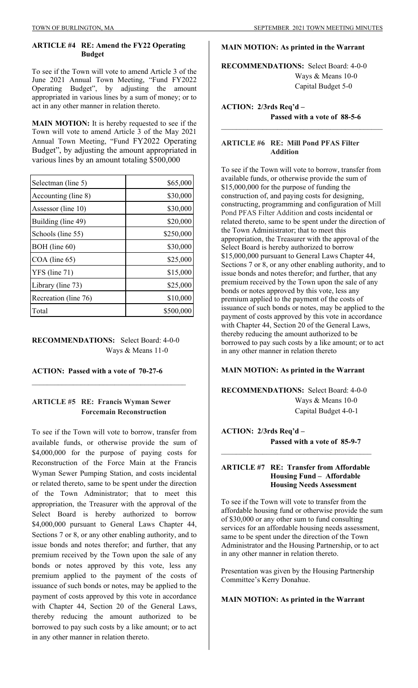#### **ARTICLE #4 RE: Amend the FY22 Operating Budget**

To see if the Town will vote to amend Article 3 of the June 2021 Annual Town Meeting, "Fund FY2022 Operating Budget", by adjusting the amount appropriated in various lines by a sum of money; or to act in any other manner in relation thereto.

**MAIN MOTION:** It is hereby requested to see if the Town will vote to amend Article 3 of the May 2021 Annual Town Meeting, "Fund FY2022 Operating Budget", by adjusting the amount appropriated in various lines by an amount totaling \$500,000

| Selectman (line 5)   | \$65,000  |
|----------------------|-----------|
| Accounting (line 8)  | \$30,000  |
| Assessor (line 10)   | \$30,000  |
| Building (line 49)   | \$20,000  |
| Schools (line 55)    | \$250,000 |
| BOH (line 60)        | \$30,000  |
| COA (line 65)        | \$25,000  |
| YFS (line 71)        | \$15,000  |
| Library (line 73)    | \$25,000  |
| Recreation (line 76) | \$10,000  |
| Total                | \$500,000 |

**RECOMMENDATIONS:** Select Board: 4-0-0 Ways & Means 11-0

 $\mathcal{L}_\text{max}$ 

**ACTION: Passed with a vote of 70-27-6** 

# **ARTICLE #5 RE: Francis Wyman Sewer Forcemain Reconstruction**

To see if the Town will vote to borrow, transfer from available funds, or otherwise provide the sum of \$4,000,000 for the purpose of paying costs for Reconstruction of the Force Main at the Francis Wyman Sewer Pumping Station, and costs incidental or related thereto, same to be spent under the direction of the Town Administrator; that to meet this appropriation, the Treasurer with the approval of the Select Board is hereby authorized to borrow \$4,000,000 pursuant to General Laws Chapter 44, Sections 7 or 8, or any other enabling authority, and to issue bonds and notes therefor; and further, that any premium received by the Town upon the sale of any bonds or notes approved by this vote, less any premium applied to the payment of the costs of issuance of such bonds or notes, may be applied to the payment of costs approved by this vote in accordance with Chapter 44, Section 20 of the General Laws, thereby reducing the amount authorized to be borrowed to pay such costs by a like amount; or to act in any other manner in relation thereto.

#### **MAIN MOTION: As printed in the Warrant**

**RECOMMENDATIONS:** Select Board: 4-0-0 Ways & Means 10-0 Capital Budget 5-0

# **ACTION: 2/3rds Req'd – Passed with a vote of 88-5-6**

### **ARTICLE #6 RE: Mill Pond PFAS Filter Addition**

To see if the Town will vote to borrow, transfer from available funds, or otherwise provide the sum of \$15,000,000 for the purpose of funding the construction of, and paying costs for designing, constructing, programming and configuration of Mill Pond PFAS Filter Addition and costs incidental or related thereto, same to be spent under the direction of the Town Administrator; that to meet this appropriation, the Treasurer with the approval of the Select Board is hereby authorized to borrow \$15,000,000 pursuant to General Laws Chapter 44, Sections 7 or 8, or any other enabling authority, and to issue bonds and notes therefor; and further, that any premium received by the Town upon the sale of any bonds or notes approved by this vote, less any premium applied to the payment of the costs of issuance of such bonds or notes, may be applied to the payment of costs approved by this vote in accordance with Chapter 44, Section 20 of the General Laws, thereby reducing the amount authorized to be borrowed to pay such costs by a like amount; or to act in any other manner in relation thereto

## **MAIN MOTION: As printed in the Warrant**

**RECOMMENDATIONS:** Select Board: 4-0-0 Ways & Means 10-0 Capital Budget 4-0-1

**ACTION: 2/3rds Req'd – Passed with a vote of 85-9-7**   $\mathcal{L}_\text{max}$ 

#### **ARTICLE #7 RE: Transfer from Affordable Housing Fund – Affordable Housing Needs Assessment**

To see if the Town will vote to transfer from the affordable housing fund or otherwise provide the sum of \$30,000 or any other sum to fund consulting services for an affordable housing needs assessment, same to be spent under the direction of the Town Administrator and the Housing Partnership, or to act in any other manner in relation thereto.

Presentation was given by the Housing Partnership Committee's Kerry Donahue.

## **MAIN MOTION: As printed in the Warrant**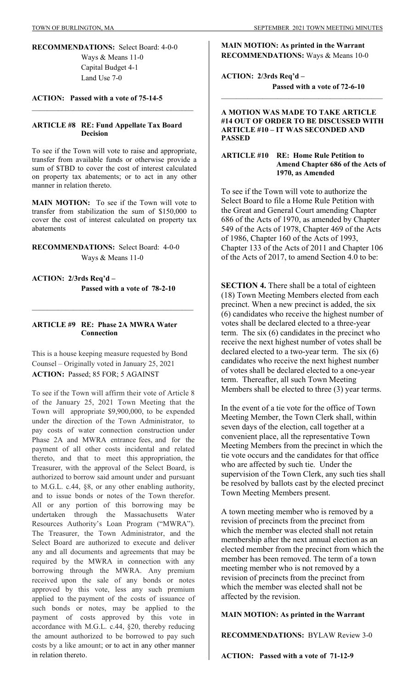**RECOMMENDATIONS:** Select Board: 4-0-0 Ways & Means 11-0 Capital Budget 4-1 Land Use 7-0

## **ACTION: Passed with a vote of 75-14-5**

## **ARTICLE #8 RE: Fund Appellate Tax Board Decision**

 $\mathcal{L}_\text{max}$  and the contract of the contract of the contract of the contract of the contract of the contract of the contract of the contract of the contract of the contract of the contract of the contract of the contrac

To see if the Town will vote to raise and appropriate, transfer from available funds or otherwise provide a sum of \$TBD to cover the cost of interest calculated on property tax abatements; or to act in any other manner in relation thereto.

**MAIN MOTION:** To see if the Town will vote to transfer from stabilization the sum of \$150,000 to cover the cost of interest calculated on property tax abatements

**RECOMMENDATIONS:** Select Board: 4-0-0 Ways & Means 11-0

**ACTION: 2/3rds Req'd – Passed with a vote of 78-2-10** 

## **ARTICLE #9 RE: Phase 2A MWRA Water Connection**

This is a house keeping measure requested by Bond Counsel – Originally voted in January 25, 2021 **ACTION:** Passed; 85 FOR; 5 AGAINST

To see if the Town will affirm their vote of Article 8 of the January 25, 2021 Town Meeting that the Town will appropriate \$9,900,000, to be expended under the direction of the Town Administrator, to pay costs of water connection construction under Phase 2A and MWRA entrance fees, and for the payment of all other costs incidental and related thereto, and that to meet this appropriation, the Treasurer, with the approval of the Select Board, is authorized to borrow said amount under and pursuant to M.G.L. c.44, §8, or any other enabling authority, and to issue bonds or notes of the Town therefor. All or any portion of this borrowing may be undertaken through the Massachusetts Water Resources Authority's Loan Program ("MWRA"). The Treasurer, the Town Administrator, and the Select Board are authorized to execute and deliver any and all documents and agreements that may be required by the MWRA in connection with any borrowing through the MWRA. Any premium received upon the sale of any bonds or notes approved by this vote, less any such premium applied to the payment of the costs of issuance of such bonds or notes, may be applied to the payment of costs approved by this vote in accordance with M.G.L. c.44, §20, thereby reducing the amount authorized to be borrowed to pay such costs by a like amount; or to act in any other manner in relation thereto.

**MAIN MOTION: As printed in the Warrant RECOMMENDATIONS:** Ways & Means 10-0

**ACTION: 2/3rds Req'd – Passed with a vote of 72-6-10** 

### **A MOTION WAS MADE TO TAKE ARTICLE #14 OUT OF ORDER TO BE DISCUSSED WITH ARTICLE #10 – IT WAS SECONDED AND PASSED**

 $\mathcal{L}_\text{max}$  , and the set of the set of the set of the set of the set of the set of the set of the set of the set of the set of the set of the set of the set of the set of the set of the set of the set of the set of the

### **ARTICLE #10 RE: Home Rule Petition to Amend Chapter 686 of the Acts of 1970, as Amended**

To see if the Town will vote to authorize the Select Board to file a Home Rule Petition with the Great and General Court amending Chapter 686 of the Acts of 1970, as amended by Chapter 549 of the Acts of 1978, Chapter 469 of the Acts of 1986, Chapter 160 of the Acts of 1993, Chapter 133 of the Acts of 2011 and Chapter 106 of the Acts of 2017, to amend Section 4.0 to be:

**SECTION 4.** There shall be a total of eighteen (18) Town Meeting Members elected from each precinct. When a new precinct is added, the six (6) candidates who receive the highest number of votes shall be declared elected to a three-year term. The six (6) candidates in the precinct who receive the next highest number of votes shall be declared elected to a two-year term. The six (6) candidates who receive the next highest number of votes shall be declared elected to a one-year term. Thereafter, all such Town Meeting Members shall be elected to three (3) year terms.

In the event of a tie vote for the office of Town Meeting Member, the Town Clerk shall, within seven days of the election, call together at a convenient place, all the representative Town Meeting Members from the precinct in which the tie vote occurs and the candidates for that office who are affected by such tie. Under the supervision of the Town Clerk, any such ties shall be resolved by ballots cast by the elected precinct Town Meeting Members present.

A town meeting member who is removed by a revision of precincts from the precinct from which the member was elected shall not retain membership after the next annual election as an elected member from the precinct from which the member has been removed. The term of a town meeting member who is not removed by a revision of precincts from the precinct from which the member was elected shall not be affected by the revision.

**MAIN MOTION: As printed in the Warrant** 

**RECOMMENDATIONS:** BYLAW Review 3-0

**ACTION: Passed with a vote of 71-12-9**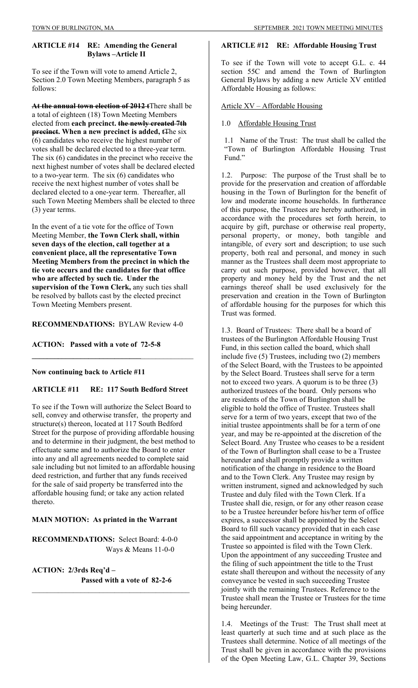### **ARTICLE #14 RE: Amending the General Bylaws –Article II**

To see if the Town will vote to amend Article 2, Section 2.0 Town Meeting Members, paragraph 5 as follows:

**At the annual town election of 2012 t**There shall be a total of eighteen (18) Town Meeting Members elected from **each precinct. the newly created 7th precinct.** When a new precinct is added, t<sub>The six</sub> (6) candidates who receive the highest number of votes shall be declared elected to a three-year term. The six (6) candidates in the precinct who receive the next highest number of votes shall be declared elected to a two-year term. The six (6) candidates who receive the next highest number of votes shall be declared elected to a one-year term. Thereafter, all such Town Meeting Members shall be elected to three (3) year terms.

In the event of a tie vote for the office of Town Meeting Member, **the Town Clerk shall, within seven days of the election, call together at a convenient place, all the representative Town Meeting Members from the precinct in which the tie vote occurs and the candidates for that office who are affected by such tie. Under the supervision of the Town Clerk,** any such ties shall be resolved by ballots cast by the elected precinct Town Meeting Members present.

## **RECOMMENDATIONS:** BYLAW Review 4-0

**ACTION: Passed with a vote of 72-5-8** 

#### **Now continuing back to Article #11**

# **ARTICLE #11 RE: 117 South Bedford Street**

**\_\_\_\_\_\_\_\_\_\_\_\_\_\_\_\_\_\_\_\_\_\_\_\_\_\_\_\_\_**\_\_\_\_\_\_\_\_\_\_\_\_\_\_

To see if the Town will authorize the Select Board to sell, convey and otherwise transfer, the property and structure(s) thereon, located at 117 South Bedford Street for the purpose of providing affordable housing and to determine in their judgment, the best method to effectuate same and to authorize the Board to enter into any and all agreements needed to complete said sale including but not limited to an affordable housing deed restriction, and further that any funds received for the sale of said property be transferred into the affordable housing fund; or take any action related thereto.

#### **MAIN MOTION: As printed in the Warrant**

**RECOMMENDATIONS:** Select Board: 4-0-0 Ways & Means 11-0-0

**ACTION: 2/3rds Req'd – Passed with a vote of 82-2-6**   $\mathcal{L}_\text{max}$ 

#### **ARTICLE #12 RE: Affordable Housing Trust**

To see if the Town will vote to accept G.L. c. 44 section 55C and amend the Town of Burlington General Bylaws by adding a new Article XV entitled Affordable Housing as follows:

Article XV – Affordable Housing

#### 1.0 Affordable Housing Trust

1.1 Name of the Trust: The trust shall be called the "Town of Burlington Affordable Housing Trust Fund."

1.2. Purpose: The purpose of the Trust shall be to provide for the preservation and creation of affordable housing in the Town of Burlington for the benefit of low and moderate income households. In furtherance of this purpose, the Trustees are hereby authorized, in accordance with the procedures set forth herein, to acquire by gift, purchase or otherwise real property, personal property, or money, both tangible and intangible, of every sort and description; to use such property, both real and personal, and money in such manner as the Trustees shall deem most appropriate to carry out such purpose, provided however, that all property and money held by the Trust and the net earnings thereof shall be used exclusively for the preservation and creation in the Town of Burlington of affordable housing for the purposes for which this Trust was formed.

1.3. Board of Trustees: There shall be a board of trustees of the Burlington Affordable Housing Trust Fund, in this section called the board, which shall include five (5) Trustees, including two (2) members of the Select Board, with the Trustees to be appointed by the Select Board. Trustees shall serve for a term not to exceed two years. A quorum is to be three (3) authorized trustees of the board. Only persons who are residents of the Town of Burlington shall be eligible to hold the office of Trustee. Trustees shall serve for a term of two years, except that two of the initial trustee appointments shall be for a term of one year, and may be re-appointed at the discretion of the Select Board. Any Trustee who ceases to be a resident of the Town of Burlington shall cease to be a Trustee hereunder and shall promptly provide a written notification of the change in residence to the Board and to the Town Clerk. Any Trustee may resign by written instrument, signed and acknowledged by such Trustee and duly filed with the Town Clerk. If a Trustee shall die, resign, or for any other reason cease to be a Trustee hereunder before his/her term of office expires, a successor shall be appointed by the Select Board to fill such vacancy provided that in each case the said appointment and acceptance in writing by the Trustee so appointed is filed with the Town Clerk. Upon the appointment of any succeeding Trustee and the filing of such appointment the title to the Trust estate shall thereupon and without the necessity of any conveyance be vested in such succeeding Trustee jointly with the remaining Trustees. Reference to the Trustee shall mean the Trustee or Trustees for the time being hereunder.

1.4. Meetings of the Trust: The Trust shall meet at least quarterly at such time and at such place as the Trustees shall determine. Notice of all meetings of the Trust shall be given in accordance with the provisions of the Open Meeting Law, G.L. Chapter 39, Sections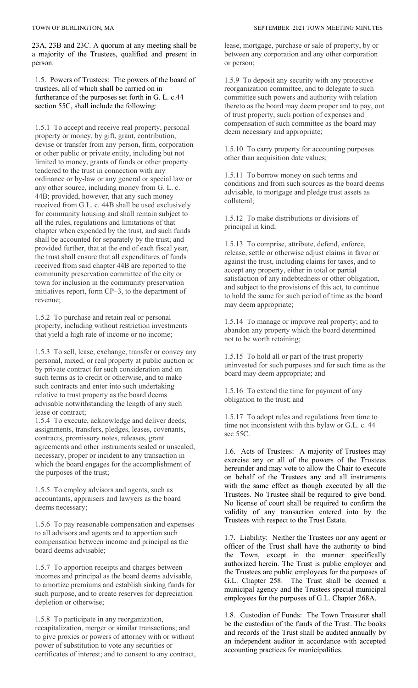23A, 23B and 23C. A quorum at any meeting shall be a majority of the Trustees, qualified and present in person.

1.5. Powers of Trustees: The powers of the board of trustees, all of which shall be carried on in furtherance of the purposes set forth in G. L. c.44 section 55C, shall include the following:

1.5.1 To accept and receive real property, personal property or money, by gift, grant, contribution, devise or transfer from any person, firm, corporation or other public or private entity, including but not limited to money, grants of funds or other property tendered to the trust in connection with any ordinance or by-law or any general or special law or any other source, including money from G. L. c. 44B; provided, however, that any such money received from G.L. c. 44B shall be used exclusively for community housing and shall remain subject to all the rules, regulations and limitations of that chapter when expended by the trust, and such funds shall be accounted for separately by the trust; and provided further, that at the end of each fiscal year, the trust shall ensure that all expenditures of funds received from said chapter 44B are reported to the community preservation committee of the city or town for inclusion in the community preservation initiatives report, form CP–3, to the department of revenue;

1.5.2 To purchase and retain real or personal property, including without restriction investments that yield a high rate of income or no income;

1.5.3 To sell, lease, exchange, transfer or convey any personal, mixed, or real property at public auction or by private contract for such consideration and on such terms as to credit or otherwise, and to make such contracts and enter into such undertaking relative to trust property as the board deems advisable notwithstanding the length of any such lease or contract;

1.5.4 To execute, acknowledge and deliver deeds, assignments, transfers, pledges, leases, covenants, contracts, promissory notes, releases, grant agreements and other instruments sealed or unsealed, necessary, proper or incident to any transaction in which the board engages for the accomplishment of the purposes of the trust;

1.5.5 To employ advisors and agents, such as accountants, appraisers and lawyers as the board deems necessary;

1.5.6 To pay reasonable compensation and expenses to all advisors and agents and to apportion such compensation between income and principal as the board deems advisable;

1.5.7 To apportion receipts and charges between incomes and principal as the board deems advisable, to amortize premiums and establish sinking funds for such purpose, and to create reserves for depreciation depletion or otherwise;

1.5.8 To participate in any reorganization, recapitalization, merger or similar transactions; and to give proxies or powers of attorney with or without power of substitution to vote any securities or certificates of interest; and to consent to any contract, lease, mortgage, purchase or sale of property, by or between any corporation and any other corporation or person;

1.5.9 To deposit any security with any protective reorganization committee, and to delegate to such committee such powers and authority with relation thereto as the board may deem proper and to pay, out of trust property, such portion of expenses and compensation of such committee as the board may deem necessary and appropriate;

1.5.10 To carry property for accounting purposes other than acquisition date values;

1.5.11 To borrow money on such terms and conditions and from such sources as the board deems advisable, to mortgage and pledge trust assets as collateral;

1.5.12 To make distributions or divisions of principal in kind;

1.5.13 To comprise, attribute, defend, enforce, release, settle or otherwise adjust claims in favor or against the trust, including claims for taxes, and to accept any property, either in total or partial satisfaction of any indebtedness or other obligation, and subject to the provisions of this act, to continue to hold the same for such period of time as the board may deem appropriate;

1.5.14 To manage or improve real property; and to abandon any property which the board determined not to be worth retaining;

1.5.15 To hold all or part of the trust property uninvested for such purposes and for such time as the board may deem appropriate; and

1.5.16 To extend the time for payment of any obligation to the trust; and

1.5.17 To adopt rules and regulations from time to time not inconsistent with this bylaw or G.L. c. 44 sec 55C.

1.6. Acts of Trustees: A majority of Trustees may exercise any or all of the powers of the Trustees hereunder and may vote to allow the Chair to execute on behalf of the Trustees any and all instruments with the same effect as though executed by all the Trustees. No Trustee shall be required to give bond. No license of court shall be required to confirm the validity of any transaction entered into by the Trustees with respect to the Trust Estate.

1.7. Liability: Neither the Trustees nor any agent or officer of the Trust shall have the authority to bind the Town, except in the manner specifically authorized herein. The Trust is public employer and the Trustees are public employees for the purposes of G.L. Chapter 258. The Trust shall be deemed a municipal agency and the Trustees special municipal employees for the purposes of G.L. Chapter 268A.

1.8. Custodian of Funds: The Town Treasurer shall be the custodian of the funds of the Trust. The books and records of the Trust shall be audited annually by an independent auditor in accordance with accepted accounting practices for municipalities.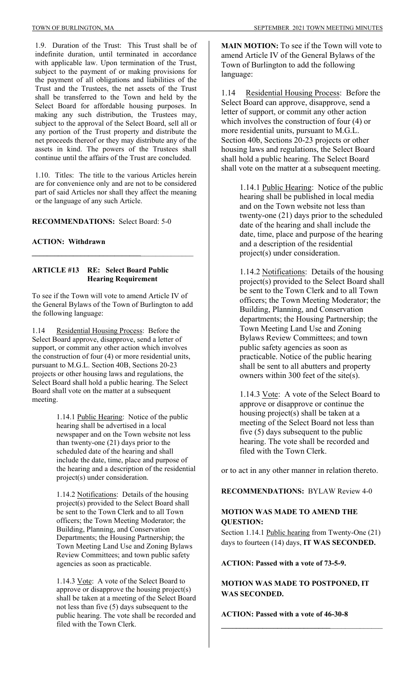1.9. Duration of the Trust: This Trust shall be of indefinite duration, until terminated in accordance with applicable law. Upon termination of the Trust, subject to the payment of or making provisions for the payment of all obligations and liabilities of the Trust and the Trustees, the net assets of the Trust shall be transferred to the Town and held by the Select Board for affordable housing purposes. In making any such distribution, the Trustees may, subject to the approval of the Select Board, sell all or any portion of the Trust property and distribute the net proceeds thereof or they may distribute any of the assets in kind. The powers of the Trustees shall continue until the affairs of the Trust are concluded.

1.10. Titles: The title to the various Articles herein are for convenience only and are not to be considered part of said Articles nor shall they affect the meaning or the language of any such Article.

**RECOMMENDATIONS:** Select Board: 5-0

**ACTION: Withdrawn** 

### **ARTICLE #13 RE: Select Board Public Hearing Requirement**

To see if the Town will vote to amend Article IV of the General Bylaws of the Town of Burlington to add the following language:

**\_\_\_\_\_\_\_\_\_\_\_\_\_\_\_\_\_\_\_\_\_\_\_\_\_\_\_\_\_**\_\_\_\_\_\_\_\_\_\_\_\_\_\_

1.14 Residential Housing Process: Before the Select Board approve, disapprove, send a letter of support, or commit any other action which involves the construction of four (4) or more residential units, pursuant to M.G.L. Section 40B, Sections 20-23 projects or other housing laws and regulations, the Select Board shall hold a public hearing. The Select Board shall vote on the matter at a subsequent meeting.

> 1.14.1 Public Hearing: Notice of the public hearing shall be advertised in a local newspaper and on the Town website not less than twenty-one (21) days prior to the scheduled date of the hearing and shall include the date, time, place and purpose of the hearing and a description of the residential project(s) under consideration.

1.14.2 Notifications: Details of the housing project(s) provided to the Select Board shall be sent to the Town Clerk and to all Town officers; the Town Meeting Moderator; the Building, Planning, and Conservation Departments; the Housing Partnership; the Town Meeting Land Use and Zoning Bylaws Review Committees; and town public safety agencies as soon as practicable.

1.14.3 Vote: A vote of the Select Board to approve or disapprove the housing project(s) shall be taken at a meeting of the Select Board not less than five (5) days subsequent to the public hearing. The vote shall be recorded and filed with the Town Clerk.

**MAIN MOTION:** To see if the Town will vote to amend Article IV of the General Bylaws of the Town of Burlington to add the following language:

1.14 Residential Housing Process: Before the Select Board can approve, disapprove, send a letter of support, or commit any other action which involves the construction of four (4) or more residential units, pursuant to M.G.L. Section 40b, Sections 20-23 projects or other housing laws and regulations, the Select Board shall hold a public hearing. The Select Board shall vote on the matter at a subsequent meeting.

> 1.14.1 Public Hearing: Notice of the public hearing shall be published in local media and on the Town website not less than twenty-one (21) days prior to the scheduled date of the hearing and shall include the date, time, place and purpose of the hearing and a description of the residential project(s) under consideration.

> 1.14.2 Notifications: Details of the housing project(s) provided to the Select Board shall be sent to the Town Clerk and to all Town officers; the Town Meeting Moderator; the Building, Planning, and Conservation departments; the Housing Partnership; the Town Meeting Land Use and Zoning Bylaws Review Committees; and town public safety agencies as soon as practicable. Notice of the public hearing shall be sent to all abutters and property owners within 300 feet of the site(s).

1.14.3 Vote: A vote of the Select Board to approve or disapprove or continue the housing project(s) shall be taken at a meeting of the Select Board not less than five (5) days subsequent to the public hearing. The vote shall be recorded and filed with the Town Clerk.

or to act in any other manner in relation thereto.

**RECOMMENDATIONS:** BYLAW Review 4-0

# **MOTION WAS MADE TO AMEND THE QUESTION:**

Section 1.14.1 Public hearing from Twenty-One (21) days to fourteen (14) days, **IT WAS SECONDED.** 

**ACTION: Passed with a vote of 73-5-9.** 

**MOTION WAS MADE TO POSTPONED, IT WAS SECONDED.** 

**\_\_\_\_\_\_\_\_\_\_\_\_\_\_\_\_\_\_\_\_\_\_\_\_\_\_\_\_\_**\_\_\_\_\_\_\_\_\_\_\_\_\_\_

**ACTION: Passed with a vote of 46-30-8**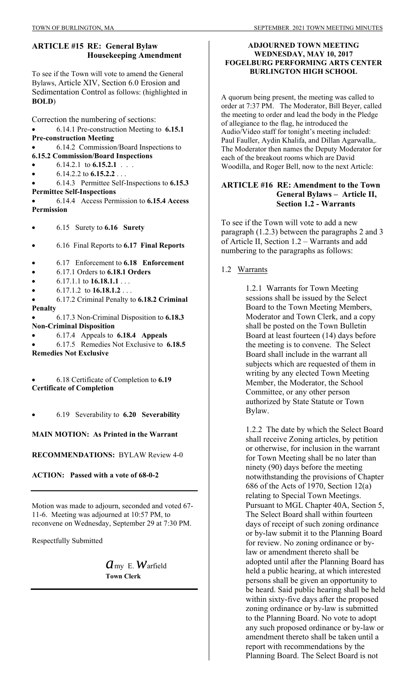# **ARTICLE #15 RE: General Bylaw Housekeeping Amendment**

To see if the Town will vote to amend the General Bylaws, Article XIV, Section 6.0 Erosion and Sedimentation Control as follows: (highlighted in **BOLD**)

Correction the numbering of sections:

 6.14.1 Pre-construction Meeting to **6.15.1 Pre-construction Meeting**

 6.14.2 Commission/Board Inspections to **6.15.2 Commission/Board Inspections** 

- 6.14.2.1 to **6.15.2.1** . . .
- 6.14.2.2 to **6.15.2.2** . . .

 6.14.3 Permittee Self-Inspections to **6.15.3 Permittee Self-Inspections**

 6.14.4 Access Permission to **6.15.4 Access Permission**

6.15 Surety to **6.16 Surety**

- 6.16 Final Reports to **6.17 Final Reports**
- 6.17 Enforcement to **6.18 Enforcement**
- 6.17.1 Orders to **6.18.1 Orders**
- 6.17.1.1 to **16.18.1.1** . . .
- $\bullet$  6.17.1.2 to **16.18.1.2** . . .
- 6.17.2 Criminal Penalty to **6.18.2 Criminal Penalty**
- 6.17.3 Non-Criminal Disposition to **6.18.3 Non-Criminal Disposition**
- 6.17.4 Appeals to **6.18.4 Appeals**

 6.17.5 Remedies Not Exclusive to **6.18.5 Remedies Not Exclusive**

 6.18 Certificate of Completion to **6.19 Certificate of Completion**

6.19 Severability to **6.20 Severability**

**MAIN MOTION: As Printed in the Warrant**

**RECOMMENDATIONS:** BYLAW Review 4-0

**ACTION: Passed with a vote of 68-0-2** 

Motion was made to adjourn, seconded and voted 67- 11-6. Meeting was adjourned at 10:57 PM, to reconvene on Wednesday, September 29 at 7:30 PM.

Respectfully Submitted

 $a$ <sub>my</sub> E. *W*arfield  **Town Clerk** 

# **ADJOURNED TOWN MEETING WEDNESDAY, MAY 10, 2017 FOGELBURG PERFORMING ARTS CENTER BURLINGTON HIGH SCHOOL**

A quorum being present, the meeting was called to order at 7:37 PM. The Moderator, Bill Beyer, called the meeting to order and lead the body in the Pledge of allegiance to the flag, he introduced the Audio/Video staff for tonight's meeting included: Paul Fauller, Aydin Khalifa, and Dillan Agarwalla,. The Moderator then names the Deputy Moderator for each of the breakout rooms which are David Woodilla, and Roger Bell, now to the next Article:

# **ARTICLE #16 RE: Amendment to the Town General Bylaws – Article II, Section 1.2 - Warrants**

To see if the Town will vote to add a new paragraph (1.2.3) between the paragraphs 2 and 3 of Article II, Section 1.2 – Warrants and add numbering to the paragraphs as follows:

# 1.2 Warrants

1.2.1 Warrants for Town Meeting sessions shall be issued by the Select Board to the Town Meeting Members, Moderator and Town Clerk, and a copy shall be posted on the Town Bulletin Board at least fourteen (14) days before the meeting is to convene. The Select Board shall include in the warrant all subjects which are requested of them in writing by any elected Town Meeting Member, the Moderator, the School Committee, or any other person authorized by State Statute or Town Bylaw.

1.2.2 The date by which the Select Board shall receive Zoning articles, by petition or otherwise, for inclusion in the warrant for Town Meeting shall be no later than ninety (90) days before the meeting notwithstanding the provisions of Chapter 686 of the Acts of 1970, Section 12(a) relating to Special Town Meetings. Pursuant to MGL Chapter 40A, Section 5, The Select Board shall within fourteen days of receipt of such zoning ordinance or by-law submit it to the Planning Board for review. No zoning ordinance or bylaw or amendment thereto shall be adopted until after the Planning Board has held a public hearing, at which interested persons shall be given an opportunity to be heard. Said public hearing shall be held within sixty-five days after the proposed zoning ordinance or by-law is submitted to the Planning Board. No vote to adopt any such proposed ordinance or by-law or amendment thereto shall be taken until a report with recommendations by the Planning Board. The Select Board is not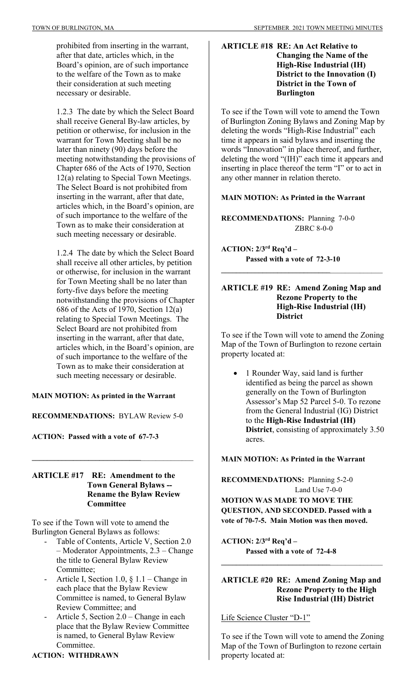prohibited from inserting in the warrant, after that date, articles which, in the Board's opinion, are of such importance to the welfare of the Town as to make their consideration at such meeting necessary or desirable.

1.2.3 The date by which the Select Board shall receive General By-law articles, by petition or otherwise, for inclusion in the warrant for Town Meeting shall be no later than ninety (90) days before the meeting notwithstanding the provisions of Chapter 686 of the Acts of 1970, Section 12(a) relating to Special Town Meetings. The Select Board is not prohibited from inserting in the warrant, after that date, articles which, in the Board's opinion, are of such importance to the welfare of the Town as to make their consideration at such meeting necessary or desirable.

1.2.4 The date by which the Select Board shall receive all other articles, by petition or otherwise, for inclusion in the warrant for Town Meeting shall be no later than forty-five days before the meeting notwithstanding the provisions of Chapter 686 of the Acts of 1970, Section 12(a) relating to Special Town Meetings. The Select Board are not prohibited from inserting in the warrant, after that date, articles which, in the Board's opinion, are of such importance to the welfare of the Town as to make their consideration at such meeting necessary or desirable.

## **MAIN MOTION: As printed in the Warrant**

**RECOMMENDATIONS:** BYLAW Review 5-0

**ACTION: Passed with a vote of 67-7-3** 

# **ARTICLE #17 RE: Amendment to the Town General Bylaws -- Rename the Bylaw Review Committee**

**\_\_\_\_\_\_\_\_\_\_\_\_\_\_\_\_\_\_\_\_\_\_\_\_\_\_\_\_\_**\_\_\_\_\_\_\_\_\_\_\_\_\_\_

To see if the Town will vote to amend the Burlington General Bylaws as follows:

- Table of Contents, Article V, Section 2.0 – Moderator Appointments, 2.3 – Change the title to General Bylaw Review Committee;
- Article I, Section 1.0, § 1.1 Change in each place that the Bylaw Review Committee is named, to General Bylaw Review Committee; and
- Article 5, Section  $2.0$  Change in each place that the Bylaw Review Committee is named, to General Bylaw Review Committee.

# **ACTION: WITHDRAWN**

# **ARTICLE #18 RE: An Act Relative to Changing the Name of the High-Rise Industrial (IH) District to the Innovation (I) District in the Town of Burlington**

To see if the Town will vote to amend the Town of Burlington Zoning Bylaws and Zoning Map by deleting the words "High-Rise Industrial" each time it appears in said bylaws and inserting the words "Innovation" in place thereof, and further, deleting the word "(IH)" each time it appears and inserting in place thereof the term "I" or to act in any other manner in relation thereto.

# **MAIN MOTION: As Printed in the Warrant**

**RECOMMENDATIONS:** Planning 7-0-0 ZBRC 8-0-0

**ACTION: 2/3rd Req'd – Passed with a vote of 72-3-10** 

# **ARTICLE #19 RE: Amend Zoning Map and Rezone Property to the High-Rise Industrial (IH) District**

**\_\_\_\_\_\_\_\_\_\_\_\_\_\_\_\_\_\_\_\_\_\_\_\_\_\_\_\_\_**\_\_\_\_\_\_\_\_\_\_\_\_\_\_

To see if the Town will vote to amend the Zoning Map of the Town of Burlington to rezone certain property located at:

 1 Rounder Way, said land is further identified as being the parcel as shown generally on the Town of Burlington Assessor's Map 52 Parcel 5-0. To rezone from the General Industrial (IG) District to the **High-Rise Industrial (IH) District**, consisting of approximately 3.50 acres.

# **MAIN MOTION: As Printed in the Warrant**

**RECOMMENDATIONS:** Planning 5-2-0 Land Use 7-0-0 **MOTION WAS MADE TO MOVE THE QUESTION, AND SECONDED. Passed with a vote of 70-7-5. Main Motion was then moved.** 

**ACTION: 2/3rd Req'd – Passed with a vote of 72-4-8** 

# **ARTICLE #20 RE: Amend Zoning Map and Rezone Property to the High Rise Industrial (IH) District**

**\_\_\_\_\_\_\_\_\_\_\_\_\_\_\_\_\_\_\_\_\_\_\_\_\_\_\_\_\_**\_\_\_\_\_\_\_\_\_\_\_\_\_\_

Life Science Cluster "D-1"

To see if the Town will vote to amend the Zoning Map of the Town of Burlington to rezone certain property located at: